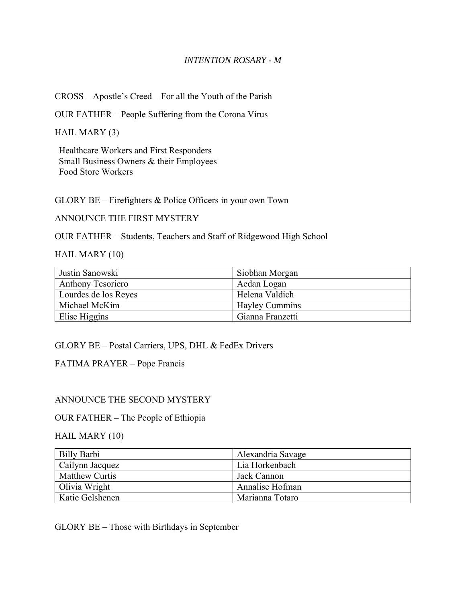### *INTENTION ROSARY - M*

CROSS – Apostle's Creed – For all the Youth of the Parish

OUR FATHER – People Suffering from the Corona Virus

HAIL MARY (3)

Healthcare Workers and First Responders Small Business Owners & their Employees Food Store Workers

GLORY BE – Firefighters & Police Officers in your own Town

ANNOUNCE THE FIRST MYSTERY

OUR FATHER – Students, Teachers and Staff of Ridgewood High School

HAIL MARY (10)

| Justin Sanowski          | Siobhan Morgan        |
|--------------------------|-----------------------|
| <b>Anthony Tesoriero</b> | Aedan Logan           |
| Lourdes de los Reyes     | Helena Valdich        |
| Michael McKim            | <b>Hayley Cummins</b> |
| Elise Higgins            | Gianna Franzetti      |

GLORY BE – Postal Carriers, UPS, DHL & FedEx Drivers

FATIMA PRAYER – Pope Francis

### ANNOUNCE THE SECOND MYSTERY

### OUR FATHER – The People of Ethiopia

### HAIL MARY (10)

| Billy Barbi           | Alexandria Savage |
|-----------------------|-------------------|
| Cailynn Jacquez       | Lia Horkenbach    |
| <b>Matthew Curtis</b> | Jack Cannon       |
| Olivia Wright         | Annalise Hofman   |
| Katie Gelshenen       | Marianna Totaro   |

GLORY BE – Those with Birthdays in September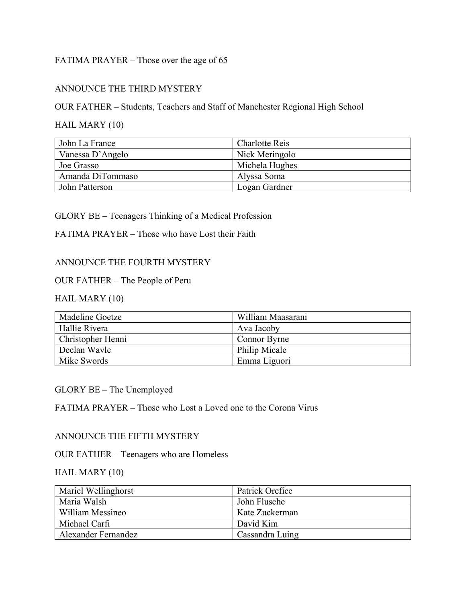# FATIMA PRAYER – Those over the age of 65

# ANNOUNCE THE THIRD MYSTERY

OUR FATHER – Students, Teachers and Staff of Manchester Regional High School

## HAIL MARY (10)

| John La France   | <b>Charlotte Reis</b> |
|------------------|-----------------------|
| Vanessa D'Angelo | Nick Meringolo        |
| Joe Grasso       | Michela Hughes        |
| Amanda DiTommaso | Alyssa Soma           |
| John Patterson   | Logan Gardner         |

### GLORY BE – Teenagers Thinking of a Medical Profession

### FATIMA PRAYER – Those who have Lost their Faith

## ANNOUNCE THE FOURTH MYSTERY

### OUR FATHER – The People of Peru

# HAIL MARY (10)

| Madeline Goetze   | William Maasarani |
|-------------------|-------------------|
| Hallie Rivera     | Ava Jacoby        |
| Christopher Henni | Connor Byrne      |
| Declan Wayle      | Philip Micale     |
| Mike Swords       | Emma Liguori      |

### GLORY BE – The Unemployed

### FATIMA PRAYER – Those who Lost a Loved one to the Corona Virus

### ANNOUNCE THE FIFTH MYSTERY

## OUR FATHER – Teenagers who are Homeless

### HAIL MARY (10)

| Mariel Wellinghorst | Patrick Orefice |
|---------------------|-----------------|
| Maria Walsh         | John Flusche    |
| William Messineo    | Kate Zuckerman  |
| Michael Carfi       | David Kim       |
| Alexander Fernandez | Cassandra Luing |